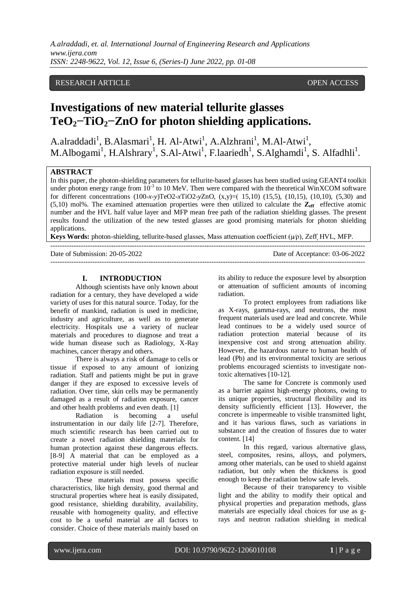# RESEARCH ARTICLE **CONSERVERS** OPEN ACCESS

# **Investigations of new material tellurite glasses TeO2−TiO2−ZnO for photon shielding applications.**

A.alraddadi<sup>1</sup>, B.Alasmari<sup>1</sup>, H. Al-Atwi<sup>1</sup>, A.Alzhrani<sup>1</sup>, M.Al-Atwi<sup>1</sup>, M.Albogami<sup>1</sup>, H.Alshrary<sup>1</sup>, S.Al-Atwi<sup>1</sup>, F.laariedh<sup>1</sup>, S.Alghamdi<sup>1</sup>, S. Alfadhli<sup>1</sup>.

# **ABSTRACT**

In this paper, the photon-shielding parameters for tellurite-based glasses has been studied using GEANT4 toolkit under photon energy range from  $10^{-3}$  to 10 MeV. Then were compared with the theoretical WinXCOM software for different concentrations (100-*x-y*)TeO2-*x*TiO2-*y*ZnO, (x,y)=) 15,10) (15,5), (10,15), (10,10), (5,30) and  $(5,10)$  mol%. The examined attenuation properties were then utilized to calculate the  $\mathbb{Z}_{\text{eff}}$  effective atomic number and the HVL half value layer and MFP mean free path of the radiation shielding glasses. The present results found the utilization of the new tested glasses are good promising materials for photon shielding applications.

**Keys Words:** photon-shielding, tellurite-based glasses, Mass attenuation coefficient (µ∕ρ), Zeff**,** HVL, MFP.

---------------------------------------------------------------------------------------------------------------------------------------

| Date of Submission: 20-05-2022 | Date of Acceptance: 03-06-2022 |
|--------------------------------|--------------------------------|
|                                |                                |

#### **I. INTRODUCTION**

Although scientists have only known about radiation for a century, they have developed a wide variety of uses for this natural source. Today, for the benefit of mankind, radiation is used in medicine, industry and agriculture, as well as to generate electricity. Hospitals use a variety of nuclear materials and procedures to diagnose and treat a wide human disease such as Radiology, X-Ray machines, cancer therapy and others.

There is always a risk of damage to cells or tissue if exposed to any amount of ionizing radiation. Staff and patients might be put in grave danger if they are exposed to excessive levels of radiation. Over time, skin cells may be permanently damaged as a result of radiation exposure, cancer and other health problems and even death. [1]

Radiation is becoming a useful instrumentation in our daily life [2-7]. Therefore, much scientific research has been carried out to create a novel radiation shielding materials for human protection against these dangerous effects. [8-9] A material that can be employed as a protective material under high levels of nuclear radiation exposure is still needed.

These materials must possess specific characteristics, like high density, good thermal and structural properties where heat is easily dissipated, good resistance, shielding durability, availability, reusable with homogeneity quality, and effective cost to be a useful material are all factors to consider. Choice of these materials mainly based on

its ability to reduce the exposure level by absorption or attenuation of sufficient amounts of incoming radiation.

To protect employees from radiations like as X-rays, gamma-rays, and neutrons, the most frequent materials used are lead and concrete. While lead continues to be a widely used source of radiation protection material because of its inexpensive cost and strong attenuation ability. However, the hazardous nature to human health of lead (Pb) and its environmental toxicity are serious problems encouraged scientists to investigate nontoxic alternatives [10-12].

The same for Concrete is commonly used as a barrier against high-energy photons, owing to its unique properties, structural flexibility and its density sufficiently efficient [13]. However, the concrete is impermeable to visible transmitted light, and it has various flaws, such as variations in substance and the creation of fissures due to water content. [14]

In this regard, various alternative glass, steel, composites, resins, alloys, and polymers, among other materials, can be used to shield against radiation, but only when the thickness is good enough to keep the radiation below safe levels.

Because of their transparency to visible light and the ability to modify their optical and physical properties and preparation methods, glass materials are especially ideal choices for use as grays and neutron radiation shielding in medical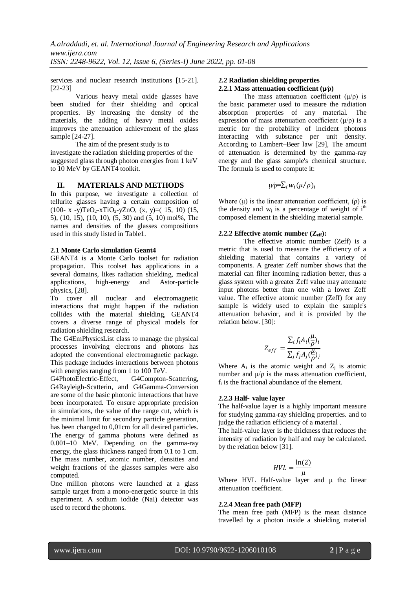services and nuclear research institutions [15-21]. [22-23]

Various heavy metal oxide glasses have been studied for their shielding and optical properties. By increasing the density of the materials, the adding of heavy metal oxides improves the attenuation achievement of the glass sample [24-27].

The aim of the present study is to

investigate the radiation shielding properties of the suggested glass through photon energies from 1 keV to 10 MeV by GEANT4 toolkit.

# **II. MATERIALS AND METHODS**

In this purpose, we investigate a collection of tellurite glasses having a certain composition of (100- x -y)TeO<sub>2</sub>-xTiO<sub>2</sub>-yZnO, (x, y)=(15, 10) (15, 5), (10, 15), (10, 10), (5, 30) and (5, 10) mol%, The names and densities of the glasses compositions used in this study listed in Table1.

#### **2.1 Monte Carlo simulation Geant4**

GEANT4 is a Monte Carlo toolset for radiation propagation. This toolset has applications in a several domains, likes radiation shielding, medical applications, high-energy and Astor-particle physics, [28].

To cover all nuclear and electromagnetic interactions that might happen if the radiation collides with the material shielding, GEANT4 covers a diverse range of physical models for radiation shielding research.

The G4EmPhysicsList class to manage the physical processes involving electrons and photons has adopted the conventional electromagnetic package. This package includes interactions between photons with energies ranging from 1 to 100 TeV.

G4PhotoElectric-Effect, G4Compton-Scattering, G4Rayleigh-Scatterin, and G4Gamma-Conversion are some of the basic photonic interactions that have been incorporated. To ensure appropriate precision in simulations, the value of the range cut, which is the minimal limit for secondary particle generation, has been changed to 0,01cm for all desired particles. The energy of gamma photons were defined as 0.001–10 MeV. Depending on the gamma-ray energy, the glass thickness ranged from 0.1 to 1 cm. The mass number, atomic number, densities and weight fractions of the glasses samples were also computed.

One million photons were launched at a glass sample target from a mono-energetic source in this experiment. A sodium iodide (NaI) detector was used to record the photons.

#### **2.2 Radiation shielding properties 2.2.1 Mass attenuation coefficient (µ∕ρ)**

The mass attenuation coefficient  $(\mu/\rho)$  is the basic parameter used to measure the radiation absorption properties of any material. The expression of mass attenuation coefficient  $(\mu/\rho)$  is a metric for the probability of incident photons interacting with substance per unit density. According to Lambert–Beer law [29], The amount of attenuation is determined by the gamma-ray energy and the glass sample's chemical structure. The formula is used to compute it:

$$
\psi \rho = \sum_i w_i (\mu / \rho)_i
$$

Where  $(\mu)$  is the linear attenuation coefficient,  $(\rho)$  is the density and  $w_i$  is a percentage of weight of i<sup>th</sup> composed element in the shielding material sample.

# **2.2.2 Effective atomic number (Zeff):**

The effective atomic number (Zeff) is a metric that is used to measure the efficiency of a shielding material that contains a variety of components. A greater Zeff number shows that the material can filter incoming radiation better, thus a glass system with a greater Zeff value may attenuate input photons better than one with a lower Zeff value. The effective atomic number (Zeff) for any sample is widely used to explain the sample's attenuation behavior, and it is provided by the relation below. [30]:

$$
Z_{eff} = \frac{\sum_{i} f_{i} A_{i} (\frac{\mu}{\rho})_{i}}{\sum_{j} f_{j} A_{j} (\frac{\mu}{\rho})_{j}}
$$

Where  $A_i$  is the atomic weight and  $Z_j$  is atomic number and  $\mu/\rho$  is the mass attenuation coefficient, fi is the fractional abundance of the element.

# **2.2.3 Half**‑ **value layer**

The half-value layer is a highly important measure for studying gamma-ray shielding properties. and to judge the radiation efficiency of a material .

The half-value layer is the thickness that reduces the intensity of radiation by half and may be calculated. by the relation below [31].

$$
HVL = \frac{\ln(2)}{\mu}
$$

Where HVL Half-value layer and μ the linear attenuation coefficient.

# **2.2.4 Mean free path (MFP)**

The mean free path (MFP) is the mean distance travelled by a photon inside a shielding material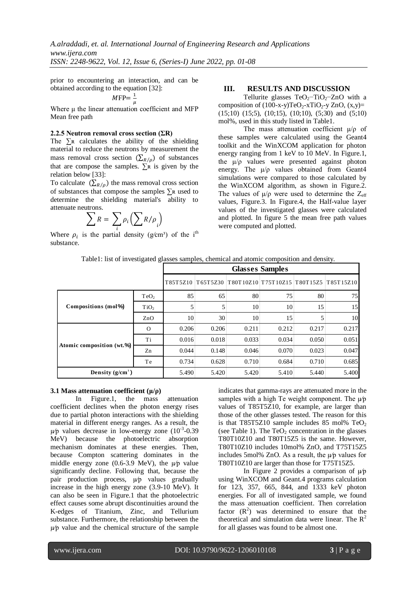prior to encountering an interaction, and can be obtained according to the equation [32]:

$$
MFP = \frac{1}{u}
$$

Where  $\mu$  the linear attenuation coefficient and MFP Mean free path

#### **2.2.5 Neutron removal cross section (ΣR)**

The  $\sum$ R calculates the ability of the shielding material to reduce the neutrons by measurement the mass removal cross section  $(\sum_{R/\rho})$  of substances that are compose the samples.  $\Sigma$ R is given by the relation below [33]:

To calculate  $(\Sigma_{R/\rho})$  the mass removal cross section of substances that compose the samples ∑ʀ used to determine the shielding material's ability to attenuate neutrons.

$$
\sum R = \sum_{i} \rho_i \left( \sum R / \rho_i \right)
$$

Where  $\rho_i$  is the partial density (g/cm<sup>3</sup>) of the i<sup>th</sup> substance.

# **III. RESULTS AND DISCUSSION**

Tellurite glasses TeO<sub>2</sub>-TiO<sub>2</sub>-ZnO with a composition of  $(100-x-y)TeO<sub>2</sub>-xTiO<sub>2</sub>-y ZnO, (x,y)=$  $(15;10)$   $(15;5)$ ,  $(10;15)$ ,  $(10;10)$ ,  $(5;30)$  and  $(5;10)$ mol%, used in this study listed in Table1.

The mass attenuation coefficient  $\mu/\rho$  of these samples were calculated using the Geant4 toolkit and the WinXCOM application for photon energy ranging from 1 keV to 10 MeV. In Figure.1, the  $\mu/\rho$  values were presented against photon energy. The  $\mu/\rho$  values obtained from Geant4 simulations were compared to those calculated by the WinXCOM algorithm, as shown in Figure.2. The values of  $\mu/\rho$  were used to determine the  $Z_{\text{eff}}$ values, Figure.3. In Figure.4, the Half-value layer values of the investigated glasses were calculated and plotted. In figure 5 the mean free path values were computed and plotted.

|  | Table1: list of investigated glasses samples, chemical and atomic composition and density. |  |  |  |  |
|--|--------------------------------------------------------------------------------------------|--|--|--|--|
|--|--------------------------------------------------------------------------------------------|--|--|--|--|

|                           |                  | <b>Glasses Samples</b> |       |       |                                                          |       |       |  |  |  |  |  |
|---------------------------|------------------|------------------------|-------|-------|----------------------------------------------------------|-------|-------|--|--|--|--|--|
|                           |                  |                        |       |       | T85T5Z10 T65T5Z30 T80T10Z10 T75T10Z15 T80T15Z5 T85T15Z10 |       |       |  |  |  |  |  |
|                           | TeO <sub>2</sub> | 85                     | 65    | 80    | 75                                                       | 80    | 75    |  |  |  |  |  |
| Compositions (mol%)       | TiO <sub>2</sub> |                        | 5     | 10    | 10                                                       | 15    | 15    |  |  |  |  |  |
|                           | ZnO              | 10                     | 30    | 10    | 15                                                       | 5     | 10    |  |  |  |  |  |
|                           | $\Omega$         | 0.206                  | 0.206 | 0.211 | 0.212                                                    | 0.217 | 0.217 |  |  |  |  |  |
| Atomic composition (wt.%) | Ti               | 0.016                  | 0.018 | 0.033 | 0.034                                                    | 0.050 | 0.051 |  |  |  |  |  |
|                           | Zn               | 0.044                  | 0.148 | 0.046 | 0.070                                                    | 0.023 | 0.047 |  |  |  |  |  |
|                           | Te               | 0.734                  | 0.628 | 0.710 | 0.684                                                    | 0.710 | 0.685 |  |  |  |  |  |
| Density $(g/cm^3)$        | 5.490            | 5.420                  | 5.420 | 5.410 | 5.440                                                    | 5.400 |       |  |  |  |  |  |

#### **3.1 Mass attenuation coefficient (μ/ρ)**

In Figure.1, the mass attenuation coefficient declines when the photon energy rises due to partial photon interactions with the shielding material in different energy ranges. As a result, the  $\mu$ p values decrease in low-energy zone (10<sup>-3</sup>-0.39) MeV) because the photoelectric absorption mechanism dominates at these energies. Then, because Compton scattering dominates in the middle energy zone (0.6-3.9 MeV), the  $\mu$ <sup>*p*</sup> value significantly decline. Following that, because the pair production process, µ∕p values gradually increase in the high energy zone (3.9-10 MeV). It can also be seen in Figure.1 that the photoelectric effect causes some abrupt discontinuities around the K-edges of Titanium, Zinc, and Tellurium substance. Furthermore, the relationship between the µ∕p value and the chemical structure of the sample indicates that gamma-rays are attenuated more in the samples with a high Te weight component. The  $\mu$ <sup>p</sup> values of T85T5Z10, for example, are larger than those of the other glasses tested. The reason for this is that T85T5Z10 sample includes 85 mol%  $TeO<sub>2</sub>$ (see Table 1). The  $TeO<sub>2</sub>$  concentration in the glasses T80T10Z10 and T80T15Z5 is the same. However, T80T10Z10 includes 10mol% ZnO, and T75T15Z5 includes 5mol% ZnO. As a result, the  $\mu$ <sup>*p*</sup> values for T80T10Z10 are larger than those for T75T15Z5.

In Figure 2 provides a comparison of  $\mu$ <sup>*p*</sup> using WinXCOM and Geant.4 programs calculation for 123, 357, 665, 844, and 1333 keV photon energies. For all of investigated sample, we found the mass attenuation coefficient. Then correlation factor  $(R^2)$  was determined to ensure that the theoretical and simulation data were linear. The  $R^2$ for all glasses was found to be almost one.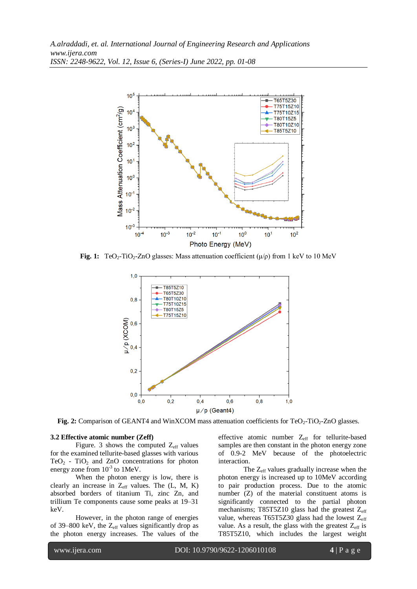

**Fig. 1:** TeO<sub>2</sub>-TiO<sub>2</sub>-ZnO glasses: Mass attenuation coefficient  $(\mu/\rho)$  from 1 keV to 10 MeV



**Fig. 2:** Comparison of GEANT4 and WinXCOM mass attenuation coefficients for TeO<sub>2</sub>-TiO<sub>2</sub>-ZnO glasses.

#### **3.2 Effective atomic number (Zeff)**

Figure. 3 shows the computed  $Z_{\text{eff}}$  values for the examined tellurite-based glasses with various  $TeO<sub>2</sub>$  - TiO<sub>2</sub> and ZnO concentrations for photon energy zone from  $10^{-3}$  to 1MeV.

When the photon energy is low, there is clearly an increase in  $Z_{\text{eff}}$  values. The (L, M, K) absorbed borders of titanium Ti, zinc Zn, and trillium Te components cause some peaks at 19–31 keV.

However, in the photon range of energies of 39–800 keV, the  $Z_{\text{eff}}$  values significantly drop as the photon energy increases. The values of the effective atomic number Z<sub>eff</sub> for tellurite-based samples are then constant in the photon energy zone of 0.9-2 MeV because of the photoelectric interaction.

The Z<sub>eff</sub> values gradually increase when the photon energy is increased up to 10MeV according to pair production process. Due to the atomic number (Z) of the material constituent atoms is significantly connected to the partial photon mechanisms; T85T5Z10 glass had the greatest Zeff value, whereas T65T5Z30 glass had the lowest  $Z_{\text{eff}}$ value. As a result, the glass with the greatest  $Z_{\text{eff}}$  is T85T5Z10, which includes the largest weight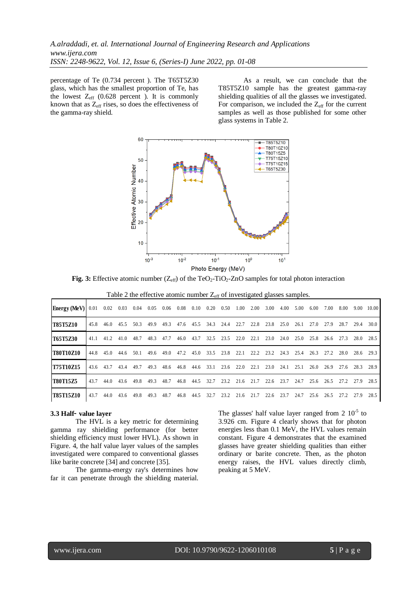*A.alraddadi, et. al. International Journal of Engineering Research and Applications www.ijera.com ISSN: 2248-9622, Vol. 12, Issue 6, (Series-I) June 2022, pp. 01-08*

percentage of Te (0.734 percent ). The T65T5Z30 glass, which has the smallest proportion of Te, has the lowest  $Z_{\text{eff}}$  (0.628 percent ). It is commonly known that as  $Z_{\text{eff}}$  rises, so does the effectiveness of the gamma-ray shield.

As a result, we can conclude that the T85T5Z10 sample has the greatest gamma-ray shielding qualities of all the glasses we investigated. For comparison, we included the  $Z_{\text{eff}}$  for the current samples as well as those published for some other glass systems in Table 2.



**Fig. 3:** Effective atomic number (Z<sub>eff</sub>) of the TeO<sub>2</sub>-TiO<sub>2</sub>-ZnO samples for total photon interaction

| Table 2 the effective atomic number $Z_{\text{eff}}$ of investigated glasses samples. |
|---------------------------------------------------------------------------------------|
|                                                                                       |

| <b>Energy (MeV)</b> $\vert$ 0.01 0.02 0.03 0.04 0.05 0.06 0.08 0.10 0.20 0.50 |           |           |      |      |      |      |           |                                              |                | 1.00 | 2.00 | 3.00 | 4.00             | 5.00 | 6.00      | 7.00      | 8.00 | 9.00 | 10.00                    |
|-------------------------------------------------------------------------------|-----------|-----------|------|------|------|------|-----------|----------------------------------------------|----------------|------|------|------|------------------|------|-----------|-----------|------|------|--------------------------|
| <b>T85T5Z10</b>                                                               |           | 45.8 46.0 | 45.5 | 50.3 | 49.9 | 49.3 |           | 47.6 45.5 34.3 24.4 22.7                     |                |      | 22.8 | 23.8 | 25.0             | 26.1 | 27.0      | 27.9      | 28.7 | 29.4 | 30.0                     |
| <b>T65T5Z30</b>                                                               | 41.1      | 41.2      | 41.0 | 48.7 | 48.3 | 47.7 | 46.0 43.7 |                                              | 32.5 23.5 22.0 |      | 22.1 |      | $23.0\quad 24.0$ | 25.0 |           | 25.8 26.6 | 27.3 | 28.0 | 28.5                     |
| <b>T80T10Z10</b>                                                              |           | 44.8 45.0 | 44.6 | 50.1 | 49.6 | 49.0 |           | 47.2 45.0 33.5 23.8 22.1 22.2 23.2 24.3 25.4 |                |      |      |      |                  |      | 26.3 27.2 |           | 28.0 |      | 28.6 29.3                |
| T75T10Z15                                                                     | 43.6 43.7 |           | 43.4 | 49.7 | 49.3 | 48.6 | 46.8 44.6 | 33.1                                         | 23.6 22.0      |      | 22.1 | 23.0 | 24.1             | 25.1 | 26.0      | 26.9      | 27.6 |      | 28.3 28.9                |
| <b>T80T1575</b>                                                               | 43.7      | 44.0      | 43.6 | 49.8 | 49.3 | 48.7 |           | 46.8 44.5 32.7 23.2 21.6 21.7 22.6 23.7 24.7 |                |      |      |      |                  |      |           |           |      |      | 25.6 26.5 27.2 27.9 28.5 |
| <b>T85T15Z10</b>                                                              | 43.7      | 44.0      | 43.6 | 49.8 | 49.3 | 48.7 | 46.8 44.5 | 32.7                                         | 23.2           | 21.6 | 21.7 | 22.6 | 23.7             | 24.7 | 25.6      | 26.5      | 27.2 | 27.9 | 28.5                     |

#### **3.3 Half**‑ **value layer**

The HVL is a key metric for determining gamma ray shielding performance (for better shielding efficiency must lower HVL). As shown in Figure. 4, the half value layer values of the samples investigated were compared to conventional glasses like barite concrete [34] and concrete [35].

The gamma-energy ray's determines how far it can penetrate through the shielding material.

The glasses' half value layer ranged from  $2 \times 10^{-5}$  to 3.926 cm. Figure 4 clearly shows that for photon energies less than 0.1 MeV, the HVL values remain constant. Figure 4 demonstrates that the examined glasses have greater shielding qualities than either ordinary or barite concrete. Then, as the photon energy raises, the HVL values directly climb, peaking at 5 MeV.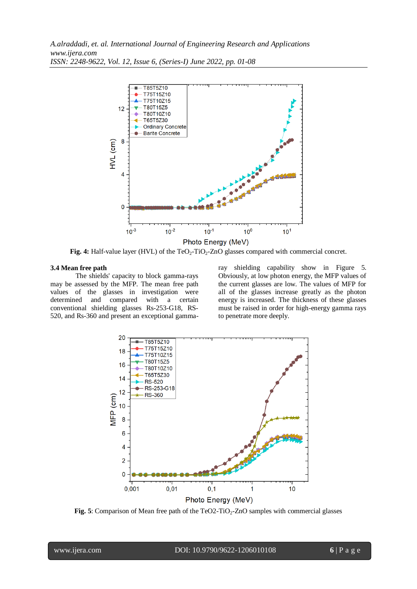*A.alraddadi, et. al. International Journal of Engineering Research and Applications www.ijera.com ISSN: 2248-9622, Vol. 12, Issue 6, (Series-I) June 2022, pp. 01-08*



**Fig. 4:** Half-value layer (HVL) of the TeO<sub>2</sub>-TiO<sub>2</sub>-ZnO glasses compared with commercial concret.

#### **3.4 Mean free path**

The shields' capacity to block gamma-rays may be assessed by the MFP. The mean free path values of the glasses in investigation were determined and compared with a certain conventional shielding glasses Rs-253-G18, RS-520, and Rs-360 and present an exceptional gammaray shielding capability show in Figure 5. Obviously, at low photon energy, the MFP values of the current glasses are low. The values of MFP for all of the glasses increase greatly as the photon energy is increased. The thickness of these glasses must be raised in order for high-energy gamma rays to penetrate more deeply.



**Fig. 5**: Comparison of Mean free path of the TeO2-TiO<sub>2</sub>-ZnO samples with commercial glasses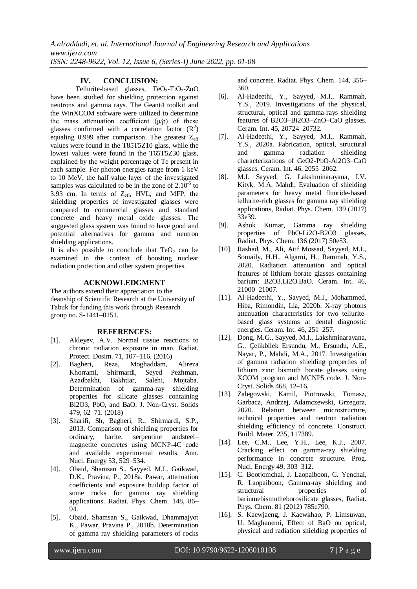#### **IV. CONCLUSION:**

Tellurite-based glasses,  $TeO<sub>2</sub>-TiO<sub>2</sub>-ZnO$ have been studied for shielding protection against neutrons and gamma rays. The Geant4 toolkit and the WinXCOM software were utilized to determine the mass attenuation coefficient  $(\psi \rho)$  of these glasses confirmed with a correlation factor  $(R^2)$ equaling 0.999 after comparison. The greatest  $Z_{\text{eff}}$ values were found in the T85T5Z10 glass, while the lowest values were found in the T65T5Z30 glass, explained by the weight percentage of Te present in each sample. For photon energies range from 1 keV to 10 MeV, the half value layer of the investigated samples was calculated to be in the zone of  $2.10^{-5}$  to 3.93 cm. In terms of  $Z_{\text{eff}}$ , HVL, and MFP, the shielding properties of investigated glasses were compared to commercial glasses and standard concrete and heavy metal oxide glasses. The suggested glass system was found to have good and potential alternatives for gamma and neutron shielding applications.

It is also possible to conclude that  $TeO<sub>2</sub>$  can be examined in the context of boosting nuclear radiation protection and other system properties.

#### **ACKNOWLEDGMENT**

The authors extend their appreciation to the deanship of Scientific Research at the University of Tabuk for funding this work through Research group no. S-1441–0151.

#### **REFERENCES:**

- [1]. Akleyev, A.V. Normal tissue reactions to chronic radiation exposure in man. Radiat. Protect. Dosim. 71, 107–116. (2016)
- [2]. Bagheri, Reza, Moghaddam, Alireza Khorrami, Shirmardi, Seyed Pezhman, Azadbakht, Bakhtiar, Salehi, Mojtaba. Determination of gamma-ray shielding properties for silicate glasses containing Bi2O3, PbO, and BaO. J. Non-Cryst. Solids 479, 62–71. (2018)
- [3]. Sharifi, Sh, Bagheri, R., Shirmardi, S.P., 2013. Comparison of shielding properties for ordinary, barite, serpentine andsteel– magnetite concretes using MCNP-4C code and available experimental results. Ann. Nucl. Energy 53, 529–534.
- [4]. Obaid, Shamsan S., Sayyed, M.I., Gaikwad, D.K., Pravina, P., 2018a. Pawar, attenuation coefficients and exposure buildup factor of some rocks for gamma ray shielding applications. Radiat. Phys. Chem. 148, 86– 94.
- [5]. Obaid, Shamsan S., Gaikwad, Dhammajyot K., Pawar, Pravina P., 2018b. Determination of gamma ray shielding parameters of rocks

and concrete. Radiat. Phys. Chem. 144, 356– 360.

- [6]. Al-Hadeethi, Y., Sayyed, M.I., Rammah, Y.S., 2019. Investigations of the physical, structural, optical and gamma-rays shielding features of B2O3–Bi2O3–ZnO–CaO glasses. Ceram. Int. 45, 20724–20732.
- [7]. Al-Hadeethi, Y., Sayyed, M.I., Rammah, Y.S., 2020a. Fabrication, optical, structural and gamma radiation shielding characterizations of GeO2-PbO-Al2O3–CaO glasses. Ceram. Int. 46, 2055–2062.
- [8]. M.I. Sayyed, G. Lakshminarayana, I.V. Kityk, M.A. Mahdi, Evaluation of shielding parameters for heavy metal fluoride-based tellurite-rich glasses for gamma ray shielding applications, Radiat. Phys. Chem. 139 (2017) 33e39.
- [9]. Ashok Kumar, Gamma ray shielding properties of PbO-Li2O-B2O3 glasses, Radiat. Phys. Chem. 136 (2017) 50e53.
- [10]. Rashad, M., Ali, Atif Mossad, Sayyed, M.I., Somaily, H.H., Algarni, H., Rammah, Y.S., 2020. Radiation attenuation and optical features of lithium borate glasses containing barium: B2O3.Li2O.BaO. Ceram. Int. 46, 21000–21007.
- [11]. Al-Hadeethi, Y., Sayyed, M.I., Mohammed, Hiba, Rimondin, Lia, 2020b. X-ray photons attenuation characteristics for two telluritebased glass systems at dental diagnostic energies. Ceram. Int. 46, 251–257.
- [12]. Dong, M.G., Sayyed, M.I., Lakshminarayana, G., Çelikbilek Ersundu, M., Ersundu, A.E., Nayar, P., Mahdi, M.A., 2017. Investigation of gamma radiation shielding properties of lithium zinc bismuth borate glasses using XCOM program and MCNP5 code. J. Non-Cryst. Solids 468, 12–16.
- [13]. Zalegowski, Kamil, Piotrowski, Tomasz, Garbacz, Andrzej, Adamczewski, Grzegorz, 2020. Relation between microstructure, technical properties and neutron radiation shielding efficiency of concrete. Construct. Build. Mater. 235, 117389.
- [14]. Lee, C.M., Lee, Y.H., Lee, K.J., 2007. Cracking effect on gamma-ray shielding performance in concrete structure. Prog. Nucl. Energy 49, 303–312.
- [15]. C. Bootjomchai, J. Laopaiboon, C. Yenchai, R. Laopaiboon, Gamma-ray shielding and structural properties of bariumebismutheborosilicate glasses, Radiat. Phys. Chem. 81 (2012) 785e790.
- [16]. S. Kaewjaeng, J. Kaewkhao, P. Limsuwan, U. Maghanemi, Effect of BaO on optical, physical and radiation shielding properties of